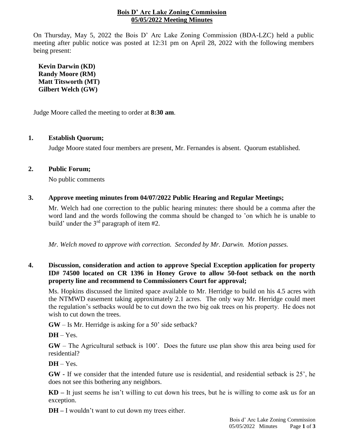## **Bois D' Arc Lake Zoning Commission 05/05/2022 Meeting Minutes**

On Thursday, May 5, 2022 the Bois D' Arc Lake Zoning Commission (BDA-LZC) held a public meeting after public notice was posted at 12:31 pm on April 28, 2022 with the following members being present:

**Kevin Darwin (KD) Randy Moore (RM) Matt Titsworth (MT) Gilbert Welch (GW)**

Judge Moore called the meeting to order at **8:30 am**.

## **1. Establish Quorum;**

Judge Moore stated four members are present, Mr. Fernandes is absent. Quorum established.

## **2. Public Forum;**

No public comments

## **3. Approve meeting minutes from 04/07/2022 Public Hearing and Regular Meetings;**

Mr. Welch had one correction to the public hearing minutes: there should be a comma after the word land and the words following the comma should be changed to 'on which he is unable to build' under the  $3<sup>rd</sup>$  paragraph of item #2.

*Mr. Welch moved to approve with correction. Seconded by Mr. Darwin. Motion passes.*

## **4. Discussion, consideration and action to approve Special Exception application for property ID# 74500 located on CR 1396 in Honey Grove to allow 50-foot setback on the north property line and recommend to Commissioners Court for approval;**

Ms. Hopkins discussed the limited space available to Mr. Herridge to build on his 4.5 acres with the NTMWD easement taking approximately 2.1 acres. The only way Mr. Herridge could meet the regulation's setbacks would be to cut down the two big oak trees on his property. He does not wish to cut down the trees.

**GW** – Is Mr. Herridge is asking for a 50' side setback?

**DH** – Yes.

**GW** – The Agricultural setback is 100'. Does the future use plan show this area being used for residential?

 $DH - Yes.$ 

**GW -** If we consider that the intended future use is residential, and residential setback is 25', he does not see this bothering any neighbors.

**KD –** It just seems he isn't willing to cut down his trees, but he is willing to come ask us for an exception.

**DH –** I wouldn't want to cut down my trees either.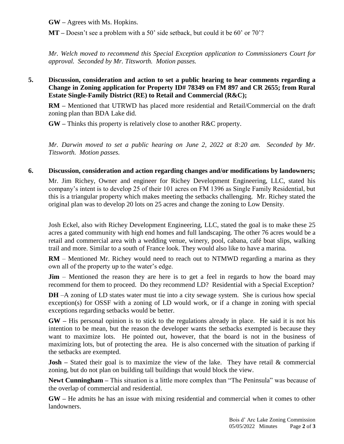**GW –** Agrees with Ms. Hopkins.

**MT** – Doesn't see a problem with a 50' side setback, but could it be 60' or 70'?

*Mr. Welch moved to recommend this Special Exception application to Commissioners Court for approval. Seconded by Mr. Titsworth. Motion passes.*

**5. Discussion, consideration and action to set a public hearing to hear comments regarding a Change in Zoning application for Property ID# 78349 on FM 897 and CR 2655; from Rural Estate Single-Family District (RE) to Retail and Commercial (R&C);**

**RM –** Mentioned that UTRWD has placed more residential and Retail/Commercial on the draft zoning plan than BDA Lake did.

**GW –** Thinks this property is relatively close to another R&C property.

*Mr. Darwin moved to set a public hearing on June 2, 2022 at 8:20 am. Seconded by Mr. Titsworth. Motion passes.*

# **6. Discussion, consideration and action regarding changes and/or modifications by landowners;**

Mr. Jim Richey, Owner and engineer for Richey Development Engineering, LLC, stated his company's intent is to develop 25 of their 101 acres on FM 1396 as Single Family Residential, but this is a triangular property which makes meeting the setbacks challenging. Mr. Richey stated the original plan was to develop 20 lots on 25 acres and change the zoning to Low Density.

Josh Eckel, also with Richey Development Engineering, LLC, stated the goal is to make these 25 acres a gated community with high end homes and full landscaping. The other 76 acres would be a retail and commercial area with a wedding venue, winery, pool, cabana, café boat slips, walking trail and more. Similar to a south of France look. They would also like to have a marina.

**RM** – Mentioned Mr. Richey would need to reach out to NTMWD regarding a marina as they own all of the property up to the water's edge.

**Jim** – Mentioned the reason they are here is to get a feel in regards to how the board may recommend for them to proceed. Do they recommend LD? Residential with a Special Exception?

**DH** –A zoning of LD states water must tie into a city sewage system. She is curious how special exception(s) for OSSF with a zoning of LD would work, or if a change in zoning with special exceptions regarding setbacks would be better.

**GW –** His personal opinion is to stick to the regulations already in place. He said it is not his intention to be mean, but the reason the developer wants the setbacks exempted is because they want to maximize lots. He pointed out, however, that the board is not in the business of maximizing lots, but of protecting the area. He is also concerned with the situation of parking if the setbacks are exempted.

**Josh** – Stated their goal is to maximize the view of the lake. They have retail & commercial zoning, but do not plan on building tall buildings that would block the view.

**Newt Cunningham –** This situation is a little more complex than "The Peninsula" was because of the overlap of commercial and residential.

**GW –** He admits he has an issue with mixing residential and commercial when it comes to other landowners.